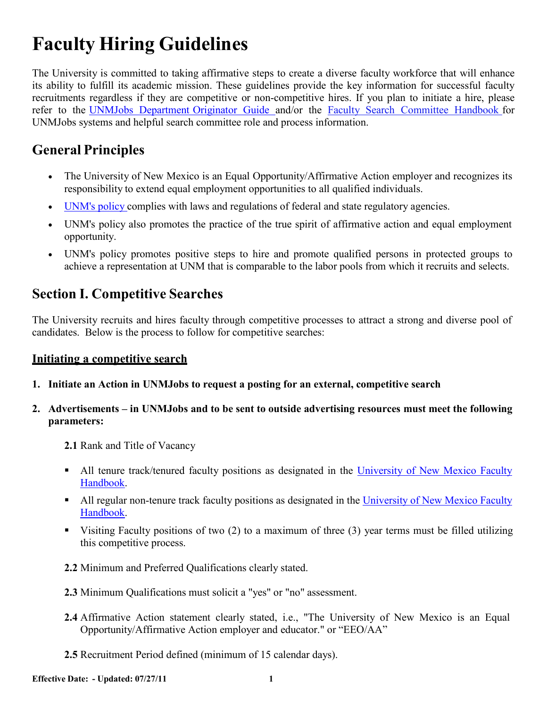# **Faculty Hiring Guidelines**

The University is committed to taking affirmative steps to create a diverse faculty workforce that will enhance its ability to fulfill its academic mission. These guidelines provide the key information for successful faculty recruitments regardless if they are competitive or non-competitive hires. If you plan to initiate a hire, please refer to the UNMJobs [Department](http://hr.unm.edu/docs/unmjobs/department-originator-guide.pdf) Originator Guide and/or the Faculty Search [Committee](http://www.unm.edu/%7Eoeounm/_hiring/SearchCommitteeHandbook_10282009.pdf) Handbook for UNMJobs systems and helpful search committee role and process information.

# **General Principles**

- The University of New Mexico is an Equal Opportunity/Affirmative Action employer and recognizes its responsibility to extend equal employment opportunities to all qualified individuals.
- [UNM's](http://www.unm.edu/%7Eubppm/ubppmanual/3100.htm) policy complies with laws and regulations of federal and state regulatory agencies.
- UNM's policy also promotes the practice of the true spirit of affirmative action and equal employment opportunity.
- UNM's policy promotes positive steps to hire and promote qualified persons in protected groups to achieve a representation at UNM that is comparable to the labor pools from which it recruits and selects.

# <span id="page-0-0"></span>**Section I. Competitive Searches**

The University recruits and hires faculty through competitive processes to attract a strong and diverse pool of candidates. Below is the process to follow for competitive searches:

# **Initiating a competitive search**

**1. Initiate an Action in UNMJobs to request a posting for an external, competitive search**

## **2. Advertisements – in UNMJobs and to be sent to outside advertising resources must meet the following parameters:**

- **2.1** Rank and Title of Vacancy
- All tenure track/tenured faculty positions as designated in the [University](http://handbook.unm.edu/) of New Mexico Faculty [Handbook.](http://handbook.unm.edu/)
- All regular non-tenure track faculty positions as designated in the University of New [Mexico Faculty](http://handbook.unm.edu/) [Handbook.](http://handbook.unm.edu/)
- Visiting Faculty positions of two  $(2)$  to a maximum of three  $(3)$  year terms must be filled utilizing this competitive process.
- **2.2** Minimum and Preferred Qualifications clearly stated.
- **2.3** Minimum Qualifications must solicit a "yes" or "no" assessment.
- **2.4** Affirmative Action statement clearly stated, i.e., "The University of New Mexico is an Equal Opportunity/Affirmative Action employer and educator." or "EEO/AA"
- **2.5** Recruitment Period defined (minimum of 15 calendar days).

**Effective Date: - Updated: 07/27/11 1**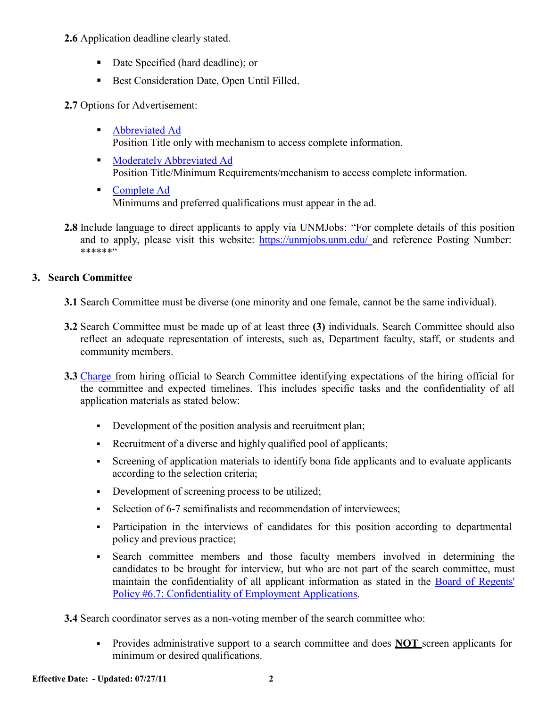#### **2.6** Application deadline clearly stated.

- Date Specified (hard deadline); or
- Best Consideration Date, Open Until Filled.

### **2.7** Options for Advertisement:

- [Abbreviated](http://www.unm.edu/%7Eoeounm/_hiring/hiring_ad_samples.htm#abbreviated_ad) Ad Position Title only with mechanism to access complete information.
- **Moderately [Abbreviated](http://www.unm.edu/%7Eoeounm/_hiring/hiring_ad_samples.htm#moderate_ad) Ad** Position Title/Minimum Requirements/mechanism to access complete information.
- [Complete](http://www.unm.edu/%7Eoeounm/_hiring/hiring_ad_samples.htm#complete_ad) Ad Minimums and preferred qualifications must appear in the ad.
- **2.8** Include language to direct applicants to apply via UNMJobs: "For complete details of this position and to apply, please visit this website: [https://unmjobs.unm.edu/](https://unmjobs.unm.edu/applicants/jsp/shared/frameset/Frameset.jsp?time=1311795224463) and reference Posting Number: \*\*\*\*\*\*"

## **3. Search Committee**

- **3.1** Search Committee must be diverse (one minority and one female, cannot be the same individual).
- **3.2** Search Committee must be made up of at least three **(3)** individuals. Search Committee should also reflect an adequate representation of interests, such as, Department faculty, staff, or students and community members.
- **3.3** [Charge](http://www.unm.edu/%7Eoeounm/_hiring/letters/search_committee_charge.htm) from hiring official to Search Committee identifying expectations of the hiring official for the committee and expected timelines. This includes specific tasks and the confidentiality of all application materials as stated below:
	- Development of the position analysis and recruitment plan;
	- Recruitment of a diverse and highly qualified pool of applicants;
	- Screening of application materials to identify bona fide applicants and to evaluate applicants according to the selection criteria;
	- Development of screening process to be utilized;
	- Selection of 6-7 semifinalists and recommendation of interviewees:
	- Participation in the interviews of candidates for this position according to departmental policy and previous practice;
	- Search committee members and those faculty members involved in determining the candidates to be brought for interview, but who are not part of the search committee, must maintain the confidentiality of all applicant information as stated in the Board of [Regents'](http://www.unm.edu/%7Ebrpm/r67.htm) Policy [#6.7: Confidentiality](http://www.unm.edu/%7Ebrpm/r67.htm) of Employment Applications.

**3.4** Search coordinator serves as a non-voting member of the search committee who:

 Provides administrative support to a search committee and does **NOT** screen applicants for minimum or desired qualifications.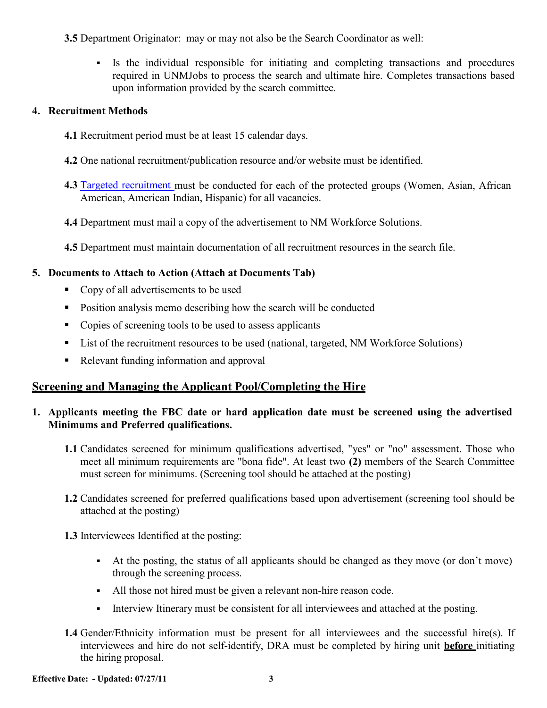**3.5** Department Originator: may or may not also be the Search Coordinator as well:

 Is the individual responsible for initiating and completing transactions and procedures required in UNMJobs to process the search and ultimate hire. Completes transactions based upon information provided by the search committee.

#### **4. Recruitment Methods**

- **4.1** Recruitment period must be at least 15 calendar days.
- **4.2** One national recruitment/publication resource and/or website must be identified.
- **4.3** Targeted [recruitment](http://hr.unm.edu/employment/recruitment-services.php) must be conducted for each of the protected groups (Women, Asian, African American, American Indian, Hispanic) for all vacancies.
- **4.4** Department must mail a copy of the advertisement to NM Workforce Solutions.
- **4.5** Department must maintain documentation of all recruitment resources in the search file.

# **5. Documents to Attach to Action (Attach at Documents Tab)**

- Copy of all advertisements to be used
- Position analysis memo describing how the search will be conducted
- Copies of screening tools to be used to assess applicants
- List of the recruitment resources to be used (national, targeted, NM Workforce Solutions)
- Relevant funding information and approval

# **Screening and Managing the Applicant Pool/Completing the Hire**

## **1. Applicants meeting the FBC date or hard application date must be screened using the advertised Minimums and Preferred qualifications.**

- **1.1** Candidates screened for minimum qualifications advertised, "yes" or "no" assessment. Those who meet all minimum requirements are "bona fide". At least two **(2)** members of the Search Committee must screen for minimums. (Screening tool should be attached at the posting)
- **1.2** Candidates screened for preferred qualifications based upon advertisement (screening tool should be attached at the posting)
- **1.3** Interviewees Identified at the posting:
	- At the posting, the status of all applicants should be changed as they move (or don't move) through the screening process.
	- All those not hired must be given a relevant non-hire reason code.
	- Interview Itinerary must be consistent for all interviewees and attached at the posting.
- **1.4** Gender/Ethnicity information must be present for all interviewees and the successful hire(s). If interviewees and hire do not self-identify, DRA must be completed by hiring unit **before** initiating the hiring proposal.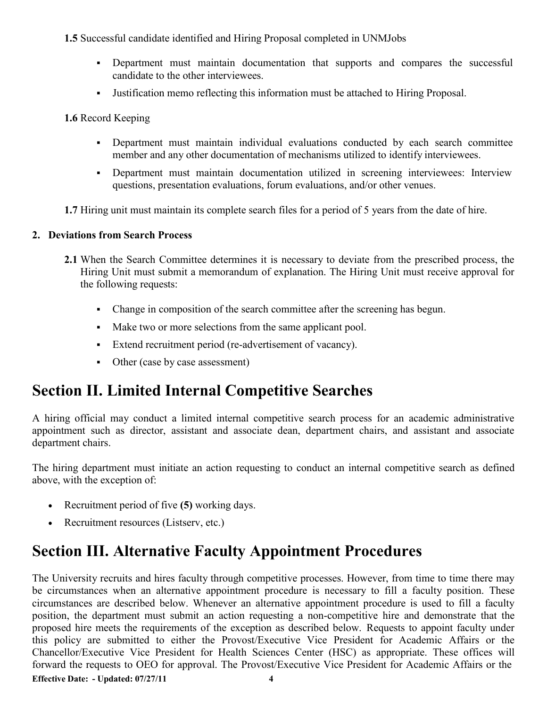#### **1.5** Successful candidate identified and Hiring Proposal completed in UNMJobs

- Department must maintain documentation that supports and compares the successful candidate to the other interviewees.
- Justification memo reflecting this information must be attached to Hiring Proposal.

**1.6** Record Keeping

- Department must maintain individual evaluations conducted by each search committee member and any other documentation of mechanisms utilized to identify interviewees.
- Department must maintain documentation utilized in screening interviewees: Interview questions, presentation evaluations, forum evaluations, and/or other venues.
- **1.7** Hiring unit must maintain its complete search files for a period of 5 years from the date of hire.

# **2. Deviations from Search Process**

- **2.1** When the Search Committee determines it is necessary to deviate from the prescribed process, the Hiring Unit must submit a memorandum of explanation. The Hiring Unit must receive approval for the following requests:
	- Change in composition of the search committee after the screening has begun.
	- Make two or more selections from the same applicant pool.
	- Extend recruitment period (re-advertisement of vacancy).
	- Other (case by case assessment)

# <span id="page-3-0"></span>**Section II. Limited Internal Competitive Searches**

A hiring official may conduct a limited internal competitive search process for an academic administrative appointment such as director, assistant and associate dean, department chairs, and assistant and associate department chairs.

The hiring department must initiate an action requesting to conduct an internal competitive search as defined above, with the exception of:

- Recruitment period of five **(5)** working days.
- Recruitment resources (Listserv, etc.)

# **Section III. Alternative Faculty Appointment Procedures**

**Effective Date: - Updated: 07/27/11 4** The University recruits and hires faculty through competitive processes. However, from time to time there may be circumstances when an alternative appointment procedure is necessary to fill a faculty position. These circumstances are described below. Whenever an alternative appointment procedure is used to fill a faculty position, the department must submit an action requesting a non-competitive hire and demonstrate that the proposed hire meets the requirements of the exception as described below. Requests to appoint faculty under this policy are submitted to either the Provost/Executive Vice President for Academic Affairs or the Chancellor/Executive Vice President for Health Sciences Center (HSC) as appropriate. These offices will forward the requests to OEO for approval. The Provost/Executive Vice President for Academic Affairs or the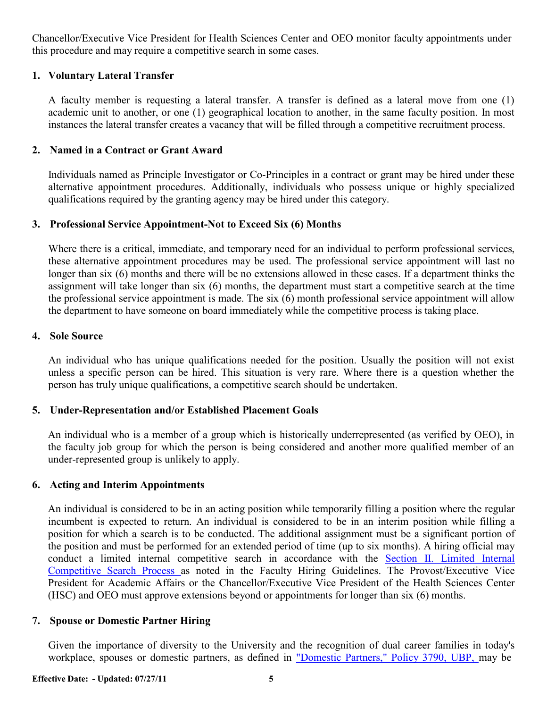Chancellor/Executive Vice President for Health Sciences Center and OEO monitor faculty appointments under this procedure and may require a competitive search in some cases.

#### **1. Voluntary Lateral Transfer**

A faculty member is requesting a lateral transfer. A transfer is defined as a lateral move from one (1) academic unit to another, or one (1) geographical location to another, in the same faculty position. In most instances the lateral transfer creates a vacancy that will be filled through a competitive recruitment process.

#### **2. Named in a Contract or Grant Award**

Individuals named as Principle Investigator or Co-Principles in a contract or grant may be hired under these alternative appointment procedures. Additionally, individuals who possess unique or highly specialized qualifications required by the granting agency may be hired under this category.

#### **3. Professional Service Appointment-Not to Exceed Six (6) Months**

Where there is a critical, immediate, and temporary need for an individual to perform professional services, these alternative appointment procedures may be used. The professional service appointment will last no longer than six (6) months and there will be no extensions allowed in these cases. If a department thinks the assignment will take longer than six (6) months, the department must start a competitive search at the time the professional service appointment is made. The six (6) month professional service appointment will allow the department to have someone on board immediately while the competitive process is taking place.

#### **4. Sole Source**

An individual who has unique qualifications needed for the position. Usually the position will not exist unless a specific person can be hired. This situation is very rare. Where there is a question whether the person has truly unique qualifications, a competitive search should be undertaken.

#### **5. Under-Representation and/or Established Placement Goals**

An individual who is a member of a group which is historically underrepresented (as verified by OEO), in the faculty job group for which the person is being considered and another more qualified member of an under-represented group is unlikely to apply.

#### **6. Acting and Interim Appointments**

An individual is considered to be in an acting position while temporarily filling a position where the regular incumbent is expected to return. An individual is considered to be in an interim position while filling a position for which a search is to be conducted. The additional assignment must be a significant portion of the position and must be performed for an extended period of time (up to six months). A hiring official may conduct a limited internal competitive search in accordance with the Section II. [Limited](#page-3-0) Internal [Competitive](#page-3-0) Search Process as noted in the Faculty Hiring Guidelines. The Provost/Executive Vice President for Academic Affairs or the Chancellor/Executive Vice President of the Health Sciences Center (HSC) and OEO must approve extensions beyond or appointments for longer than six (6) months.

#### **7. Spouse or Domestic Partner Hiring**

Given the importance of diversity to the University and the recognition of dual career families in today's workplace, spouses or domestic partners, as defined in ["Domestic](http://www.unm.edu/%7Eubppm/ubppmanual/3790.htm) Partners," Policy 3790, UBP, may be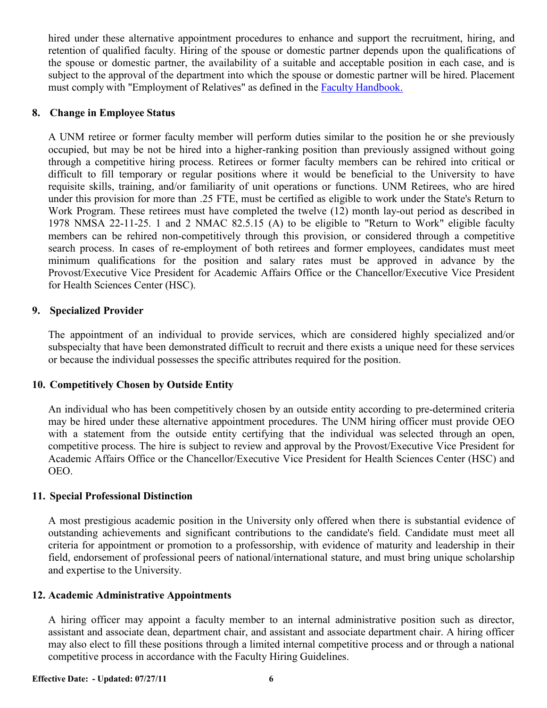hired under these alternative appointment procedures to enhance and support the recruitment, hiring, and retention of qualified faculty. Hiring of the spouse or domestic partner depends upon the qualifications of the spouse or domestic partner, the availability of a suitable and acceptable position in each case, and is subject to the approval of the department into which the spouse or domestic partner will be hired. Placement must comply with "Employment of Relatives" as defined in the Faculty [Handbook.](http://handbook.unm.edu/)

#### **8. Change in Employee Status**

A UNM retiree or former faculty member will perform duties similar to the position he or she previously occupied, but may be not be hired into a higher-ranking position than previously assigned without going through a competitive hiring process. Retirees or former faculty members can be rehired into critical or difficult to fill temporary or regular positions where it would be beneficial to the University to have requisite skills, training, and/or familiarity of unit operations or functions. UNM Retirees, who are hired under this provision for more than .25 FTE, must be certified as eligible to work under the State's Return to Work Program. These retirees must have completed the twelve (12) month lay-out period as described in 1978 NMSA 22-11-25. 1 and 2 NMAC 82.5.15 (A) to be eligible to "Return to Work" eligible faculty members can be rehired non-competitively through this provision, or considered through a competitive search process. In cases of re-employment of both retirees and former employees, candidates must meet minimum qualifications for the position and salary rates must be approved in advance by the Provost/Executive Vice President for Academic Affairs Office or the Chancellor/Executive Vice President for Health Sciences Center (HSC).

#### **9. Specialized Provider**

The appointment of an individual to provide services, which are considered highly specialized and/or subspecialty that have been demonstrated difficult to recruit and there exists a unique need for these services or because the individual possesses the specific attributes required for the position.

#### **10. Competitively Chosen by Outside Entity**

An individual who has been competitively chosen by an outside entity according to pre-determined criteria may be hired under these alternative appointment procedures. The UNM hiring officer must provide OEO with a statement from the outside entity certifying that the individual was selected through an open, competitive process. The hire is subject to review and approval by the Provost/Executive Vice President for Academic Affairs Office or the Chancellor/Executive Vice President for Health Sciences Center (HSC) and OEO.

#### **11. Special Professional Distinction**

A most prestigious academic position in the University only offered when there is substantial evidence of outstanding achievements and significant contributions to the candidate's field. Candidate must meet all criteria for appointment or promotion to a professorship, with evidence of maturity and leadership in their field, endorsement of professional peers of national/international stature, and must bring unique scholarship and expertise to the University.

#### **12. Academic Administrative Appointments**

A hiring officer may appoint a faculty member to an internal administrative position such as director, assistant and associate dean, department chair, and assistant and associate department chair. A hiring officer may also elect to fill these positions through a limited internal competitive process and or through a national competitive process in accordance with the Faculty Hiring Guidelines.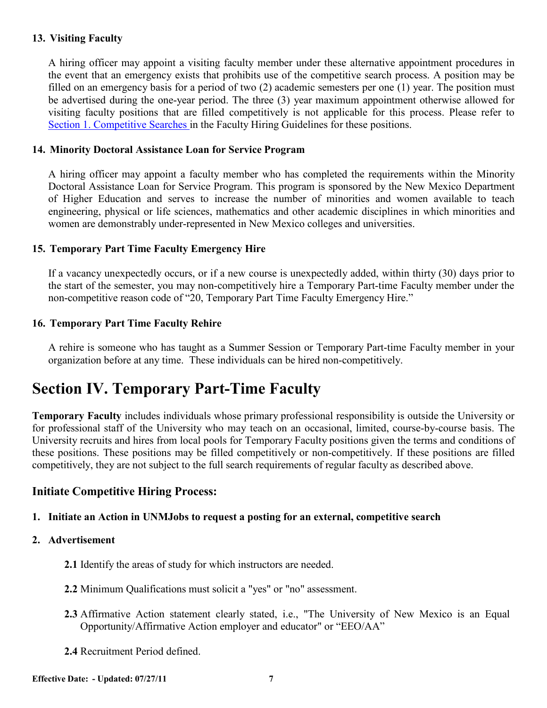#### **13. Visiting Faculty**

A hiring officer may appoint a visiting faculty member under these alternative appointment procedures in the event that an emergency exists that prohibits use of the competitive search process. A position may be filled on an emergency basis for a period of two (2) academic semesters per one (1) year. The position must be advertised during the one-year period. The three (3) year maximum appointment otherwise allowed for visiting faculty positions that are filled competitively is not applicable for this process. Please refer to Section [1. Competitive Searches](#page-0-0) in the Faculty Hiring Guidelines for these positions.

#### **14. Minority Doctoral Assistance Loan for Service Program**

A hiring officer may appoint a faculty member who has completed the requirements within the Minority Doctoral Assistance Loan for Service Program. This program is sponsored by the New Mexico Department of Higher Education and serves to increase the number of minorities and women available to teach engineering, physical or life sciences, mathematics and other academic disciplines in which minorities and women are demonstrably under-represented in New Mexico colleges and universities.

#### **15. Temporary Part Time Faculty Emergency Hire**

If a vacancy unexpectedly occurs, or if a new course is unexpectedly added, within thirty (30) days prior to the start of the semester, you may non-competitively hire a Temporary Part-time Faculty member under the non-competitive reason code of "20, Temporary Part Time Faculty Emergency Hire."

#### **16. Temporary Part Time Faculty Rehire**

A rehire is someone who has taught as a Summer Session or Temporary Part-time Faculty member in your organization before at any time. These individuals can be hired non-competitively.

# **Section IV. Temporary Part-Time Faculty**

**Temporary Faculty** includes individuals whose primary professional responsibility is outside the University or for professional staff of the University who may teach on an occasional, limited, course-by-course basis. The University recruits and hires from local pools for Temporary Faculty positions given the terms and conditions of these positions. These positions may be filled competitively or non-competitively. If these positions are filled competitively, they are not subject to the full search requirements of regular faculty as described above.

#### **Initiate Competitive Hiring Process:**

#### **1. Initiate an Action in UNMJobs to request a posting for an external, competitive search**

#### **2. Advertisement**

- **2.1** Identify the areas of study for which instructors are needed.
- **2.2** Minimum Qualifications must solicit a "yes" or "no" assessment.
- **2.3** Affirmative Action statement clearly stated, i.e., "The University of New Mexico is an Equal Opportunity/Affirmative Action employer and educator" or "EEO/AA"
- **2.4** Recruitment Period defined.

**Effective Date: - Updated: 07/27/11 7**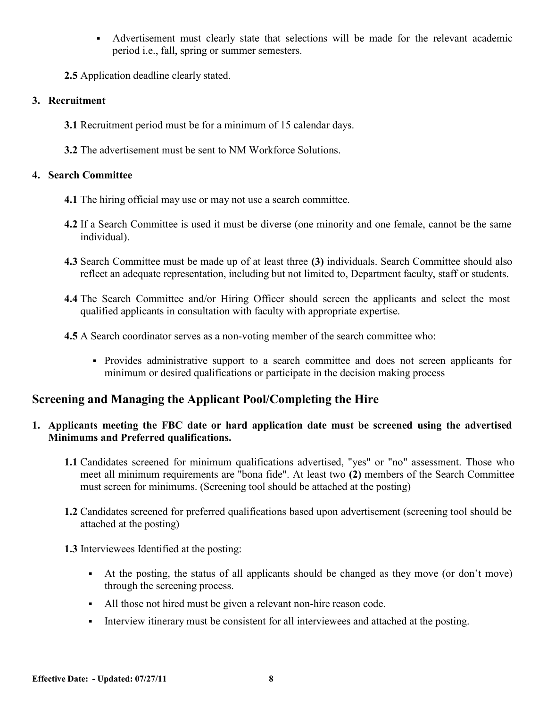- Advertisement must clearly state that selections will be made for the relevant academic period i.e., fall, spring or summer semesters.
- **2.5** Application deadline clearly stated.

## **3. Recruitment**

- **3.1** Recruitment period must be for a minimum of 15 calendar days.
- **3.2** The advertisement must be sent to NM Workforce Solutions.

## **4. Search Committee**

- **4.1** The hiring official may use or may not use a search committee.
- **4.2** If a Search Committee is used it must be diverse (one minority and one female, cannot be the same individual).
- **4.3** Search Committee must be made up of at least three **(3)** individuals. Search Committee should also reflect an adequate representation, including but not limited to, Department faculty, staff or students.
- **4.4** The Search Committee and/or Hiring Officer should screen the applicants and select the most qualified applicants in consultation with faculty with appropriate expertise.
- **4.5** A Search coordinator serves as a non-voting member of the search committee who:
	- Provides administrative support to a search committee and does not screen applicants for minimum or desired qualifications or participate in the decision making process

# **Screening and Managing the Applicant Pool/Completing the Hire**

## **1. Applicants meeting the FBC date or hard application date must be screened using the advertised Minimums and Preferred qualifications.**

- **1.1** Candidates screened for minimum qualifications advertised, "yes" or "no" assessment. Those who meet all minimum requirements are "bona fide". At least two **(2)** members of the Search Committee must screen for minimums. (Screening tool should be attached at the posting)
- **1.2** Candidates screened for preferred qualifications based upon advertisement (screening tool should be attached at the posting)

**1.3** Interviewees Identified at the posting:

- At the posting, the status of all applicants should be changed as they move (or don't move) through the screening process.
- All those not hired must be given a relevant non-hire reason code.
- Interview itinerary must be consistent for all interviewees and attached at the posting.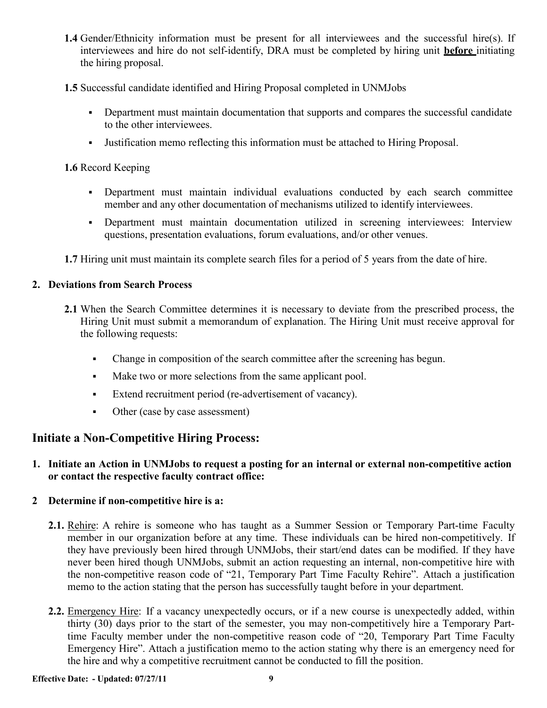- **1.4** Gender/Ethnicity information must be present for all interviewees and the successful hire(s). If interviewees and hire do not self-identify, DRA must be completed by hiring unit **before** initiating the hiring proposal.
- **1.5** Successful candidate identified and Hiring Proposal completed in UNMJobs
	- Department must maintain documentation that supports and compares the successful candidate to the other interviewees.
	- Justification memo reflecting this information must be attached to Hiring Proposal.

#### **1.6** Record Keeping

- Department must maintain individual evaluations conducted by each search committee member and any other documentation of mechanisms utilized to identify interviewees.
- Department must maintain documentation utilized in screening interviewees: Interview questions, presentation evaluations, forum evaluations, and/or other venues.

**1.7** Hiring unit must maintain its complete search files for a period of 5 years from the date of hire.

#### **2. Deviations from Search Process**

- **2.1** When the Search Committee determines it is necessary to deviate from the prescribed process, the Hiring Unit must submit a memorandum of explanation. The Hiring Unit must receive approval for the following requests:
	- Change in composition of the search committee after the screening has begun.
	- Make two or more selections from the same applicant pool.
	- Extend recruitment period (re-advertisement of vacancy).
	- Other (case by case assessment)

# **Initiate a Non-Competitive Hiring Process:**

#### **1. Initiate an Action in UNMJobs to request a posting for an internal or external non-competitive action or contact the respective faculty contract office:**

#### **2 Determine if non-competitive hire is a:**

- **2.1.** Rehire: A rehire is someone who has taught as a Summer Session or Temporary Part-time Faculty member in our organization before at any time. These individuals can be hired non-competitively. If they have previously been hired through UNMJobs, their start/end dates can be modified. If they have never been hired though UNMJobs, submit an action requesting an internal, non-competitive hire with the non-competitive reason code of "21, Temporary Part Time Faculty Rehire". Attach a justification memo to the action stating that the person has successfully taught before in your department.
- **2.2.** Emergency Hire: If a vacancy unexpectedly occurs, or if a new course is unexpectedly added, within thirty (30) days prior to the start of the semester, you may non-competitively hire a Temporary Parttime Faculty member under the non-competitive reason code of "20, Temporary Part Time Faculty Emergency Hire". Attach a justification memo to the action stating why there is an emergency need for the hire and why a competitive recruitment cannot be conducted to fill the position.